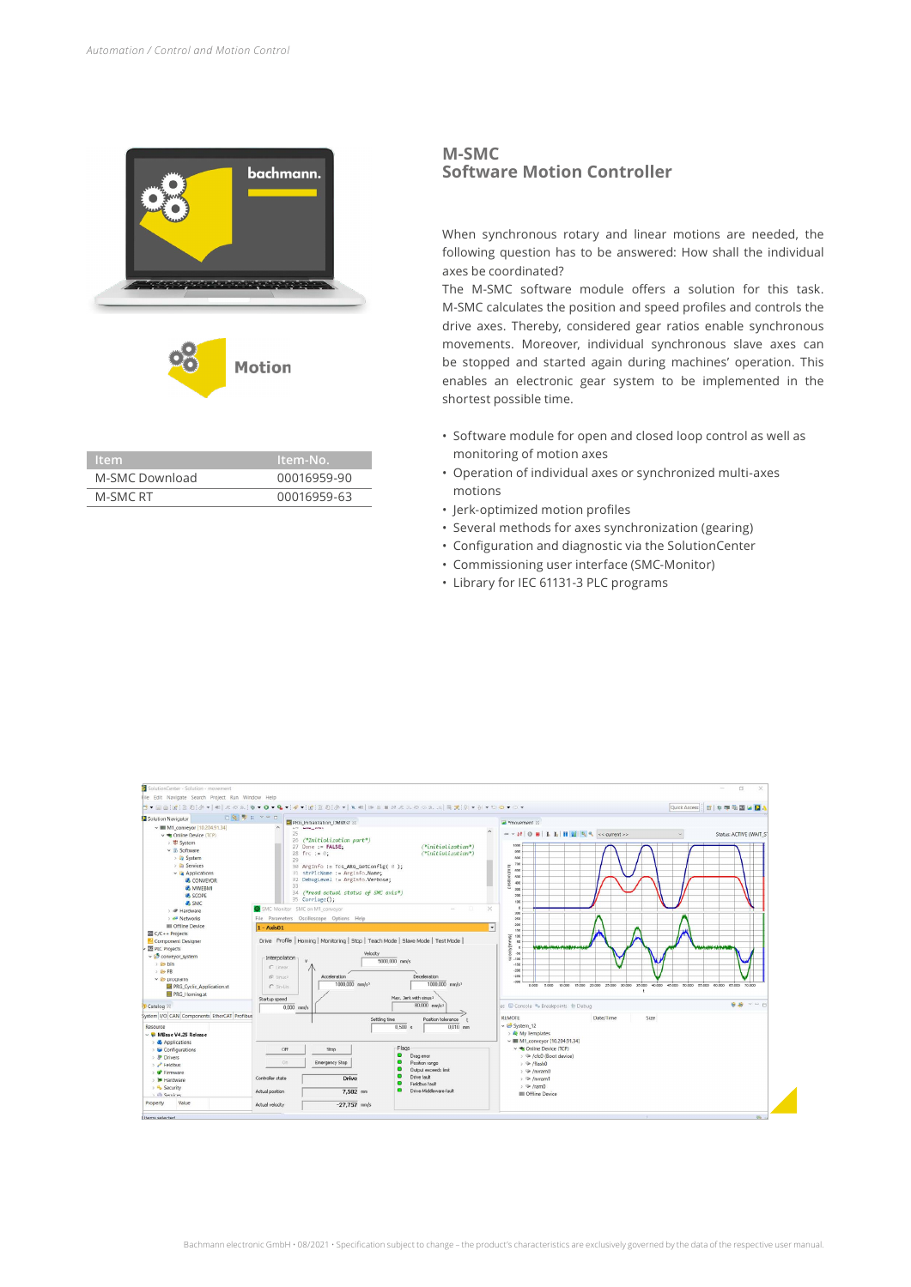

| ltem.          | . Item-No.' |
|----------------|-------------|
| M-SMC Download | 00016959-90 |
| M-SMC RT       | 00016959-63 |

## **M-SMC Software Motion Controller**

When synchronous rotary and linear motions are needed, the following question has to be answered: How shall the individual axes be coordinated?

The M-SMC software module offers a solution for this task. M-SMC calculates the position and speed profiles and controls the drive axes. Thereby, considered gear ratios enable synchronous movements. Moreover, individual synchronous slave axes can be stopped and started again during machines' operation. This enables an electronic gear system to be implemented in the shortest possible time.

- Software module for open and closed loop control as well as monitoring of motion axes
- Operation of individual axes or synchronized multi-axes motions
- Jerk-optimized motion profiles
- Several methods for axes synchronization (gearing)
- Configuration and diagnostic via the SolutionCenter
- Commissioning user interface (SMC-Monitor)
- Library for IEC 61131-3 PLC programs

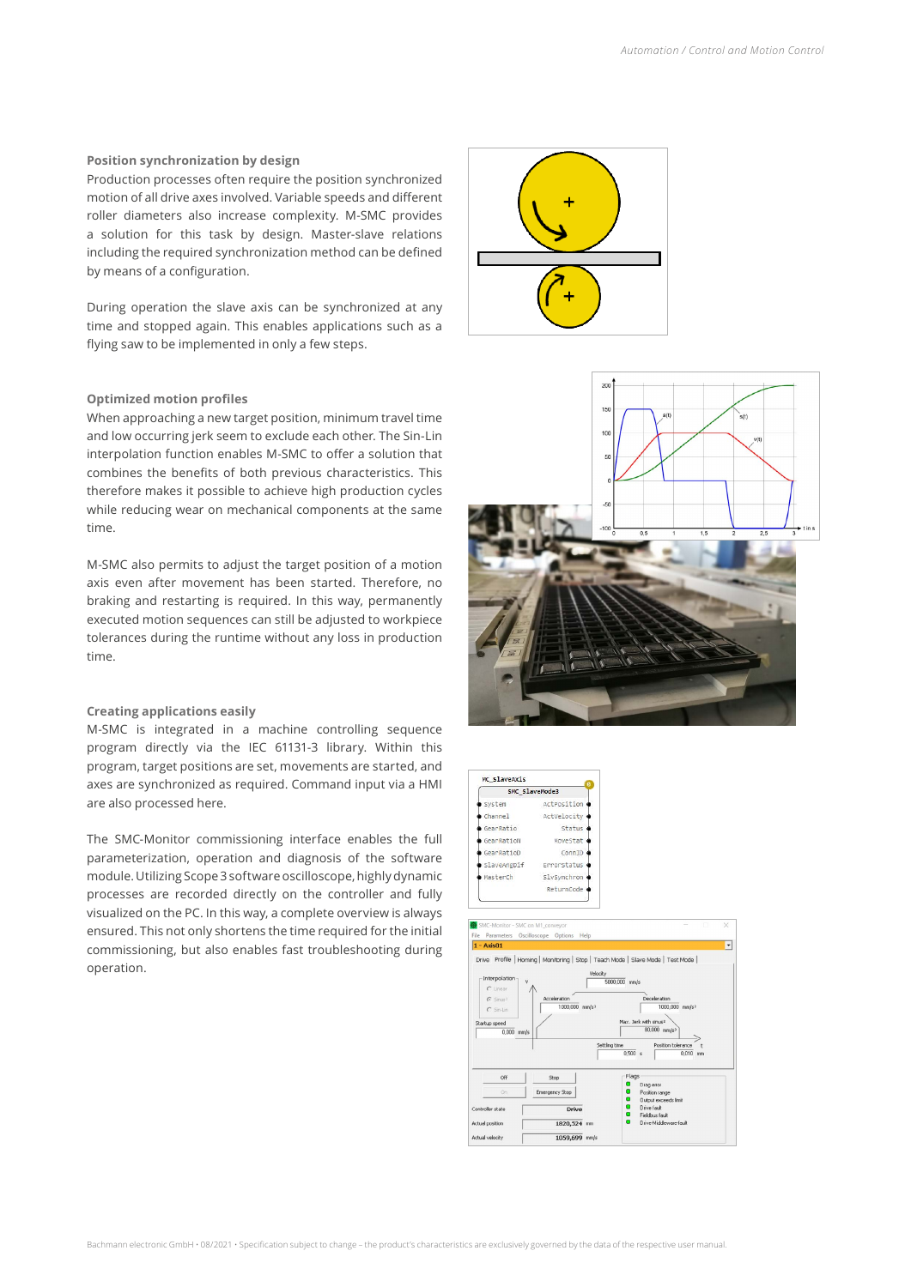## **Position synchronization by design**

Production processes often require the position synchronized motion of all drive axes involved. Variable speeds and different roller diameters also increase complexity. M-SMC provides a solution for this task by design. Master-slave relations including the required synchronization method can be defined by means of a configuration.

During operation the slave axis can be synchronized at any time and stopped again. This enables applications such as a flying saw to be implemented in only a few steps.

## **Optimized motion profiles**

When approaching a new target position, minimum travel time and low occurring jerk seem to exclude each other. The Sin-Lin interpolation function enables M-SMC to offer a solution that combines the benefits of both previous characteristics. This therefore makes it possible to achieve high production cycles while reducing wear on mechanical components at the same time.

M-SMC also permits to adjust the target position of a motion axis even after movement has been started. Therefore, no braking and restarting is required. In this way, permanently executed motion sequences can still be adjusted to workpiece tolerances during the runtime without any loss in production time.

## **Creating applications easily**

M-SMC is integrated in a machine controlling sequence program directly via the IEC 61131-3 library. Within this program, target positions are set, movements are started, and axes are synchronized as required. Command input via a HMI are also processed here.

The SMC-Monitor commissioning interface enables the full parameterization, operation and diagnosis of the software module. Utilizing Scope 3 software oscilloscope, highly dynamic processes are recorded directly on the controller and fully visualized on the PC. In this way, a complete overview is always ensured. This not only shortens the time required for the initial commissioning, but also enables fast troubleshooting during operation.







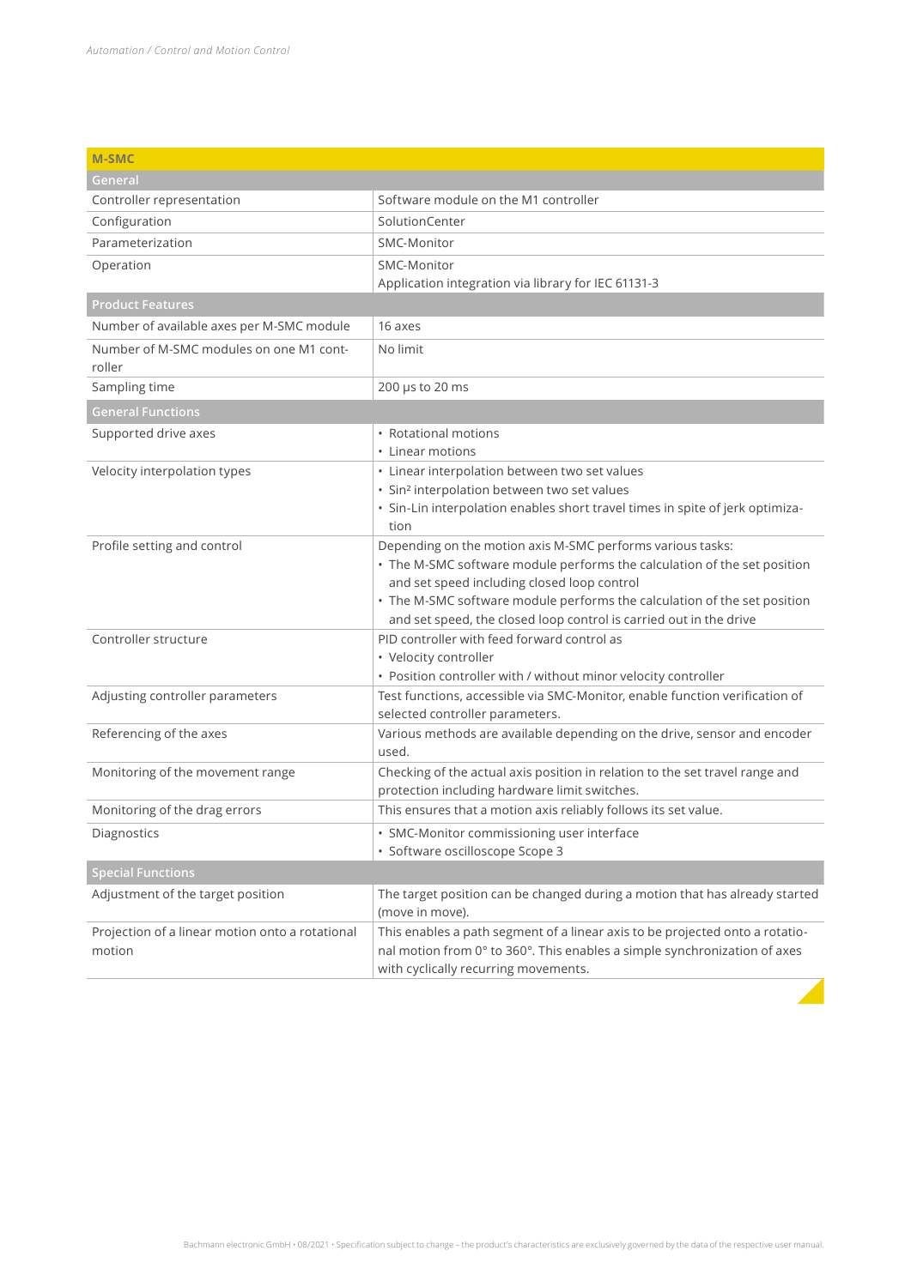| <b>M-SMC</b>                                      |                                                                                                                                                |
|---------------------------------------------------|------------------------------------------------------------------------------------------------------------------------------------------------|
| General                                           |                                                                                                                                                |
| Controller representation                         | Software module on the M1 controller                                                                                                           |
| Configuration                                     | SolutionCenter                                                                                                                                 |
| Parameterization                                  | SMC-Monitor                                                                                                                                    |
| Operation                                         | SMC-Monitor                                                                                                                                    |
|                                                   | Application integration via library for IEC 61131-3                                                                                            |
| <b>Product Features</b>                           |                                                                                                                                                |
| Number of available axes per M-SMC module         | 16 axes                                                                                                                                        |
| Number of M-SMC modules on one M1 cont-<br>roller | No limit                                                                                                                                       |
| Sampling time                                     | 200 µs to 20 ms                                                                                                                                |
| <b>General Functions</b>                          |                                                                                                                                                |
| Supported drive axes                              | • Rotational motions                                                                                                                           |
|                                                   | • Linear motions                                                                                                                               |
| Velocity interpolation types                      | • Linear interpolation between two set values                                                                                                  |
|                                                   | · Sin <sup>2</sup> interpolation between two set values                                                                                        |
|                                                   | · Sin-Lin interpolation enables short travel times in spite of jerk optimiza-<br>tion                                                          |
| Profile setting and control                       | Depending on the motion axis M-SMC performs various tasks:                                                                                     |
|                                                   | • The M-SMC software module performs the calculation of the set position                                                                       |
|                                                   | and set speed including closed loop control                                                                                                    |
|                                                   | • The M-SMC software module performs the calculation of the set position<br>and set speed, the closed loop control is carried out in the drive |
| Controller structure                              | PID controller with feed forward control as                                                                                                    |
|                                                   | • Velocity controller                                                                                                                          |
|                                                   | • Position controller with / without minor velocity controller                                                                                 |
| Adjusting controller parameters                   | Test functions, accessible via SMC-Monitor, enable function verification of                                                                    |
|                                                   | selected controller parameters.                                                                                                                |
| Referencing of the axes                           | Various methods are available depending on the drive, sensor and encoder<br>used.                                                              |
| Monitoring of the movement range                  | Checking of the actual axis position in relation to the set travel range and                                                                   |
|                                                   | protection including hardware limit switches.                                                                                                  |
| Monitoring of the drag errors                     | This ensures that a motion axis reliably follows its set value.                                                                                |
| Diagnostics                                       | • SMC-Monitor commissioning user interface                                                                                                     |
|                                                   | · Software oscilloscope Scope 3                                                                                                                |
| <b>Special Functions</b>                          |                                                                                                                                                |
| Adjustment of the target position                 | The target position can be changed during a motion that has already started<br>(move in move).                                                 |
| Projection of a linear motion onto a rotational   | This enables a path segment of a linear axis to be projected onto a rotatio-                                                                   |
| motion                                            | nal motion from 0° to 360°. This enables a simple synchronization of axes<br>with cyclically recurring movements.                              |